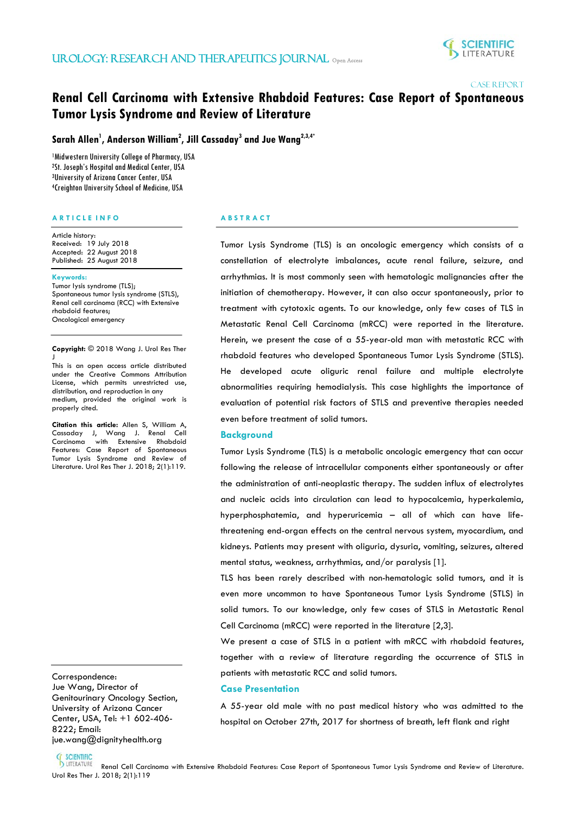

### CASE REPORT

# **Renal Cell Carcinoma with Extensive Rhabdoid Features: Case Report of Spontaneous Tumor Lysis Syndrome and Review of Literature**

**Sarah Allen1 , Anderson William2 , Jill Cassaday3 and Jue Wang2,3,4\***

 Midwestern University College of Pharmacy, USA St. Joseph's Hospital and Medical Center, USA University of Arizona Cancer Center, USA Creighton University School of Medicine, USA

### **A R T I C L E I N F O**

Article history: Received: 19 July 2018 Accepted: 22 August 2018 Published: 25 August 2018

#### **Keywords:**

Tumor lysis syndrome (TLS); Spontaneous tumor lysis syndrome (STLS), Renal cell carcinoma (RCC) with Extensive rhabdoid features; Oncological emergency

**Copyright:** © 2018 Wang J. Urol Res Ther J

This is an open access article distributed under the Creative Commons Attribution License, which permits unrestricted use, distribution, and reproduction in any medium, provided the original work is properly cited.

**Citation this article:** Allen S, William A, Cassaday J, Wang J. Renal Cell Carcinoma with Extensive Rhabdoid Features: Case Report of Spontaneous Tumor Lysis Syndrome and Review of Literature. Urol Res Ther J. 2018; 2(1):119.

Correspondence:

֞֡֡֡

Jue Wang, Director of Genitourinary Oncology Section, University of Arizona Cancer Center, USA, Tel: +1 602-406- 8222; Email: jue.wang@dignityhealth.org

# **A B S T R A C T**

İ

Tumor Lysis Syndrome (TLS) is an oncologic emergency which consists of a constellation of electrolyte imbalances, acute renal failure, seizure, and arrhythmias. It is most commonly seen with hematologic malignancies after the initiation of chemotherapy. However, it can also occur spontaneously, prior to treatment with cytotoxic agents. To our knowledge, only few cases of TLS in Metastatic Renal Cell Carcinoma (mRCC) were reported in the literature. Herein, we present the case of a 55-year-old man with metastatic RCC with rhabdoid features who developed Spontaneous Tumor Lysis Syndrome (STLS). He developed acute oliguric renal failure and multiple electrolyte abnormalities requiring hemodialysis. This case highlights the importance of evaluation of potential risk factors of STLS and preventive therapies needed even before treatment of solid tumors.

#### **Background**

Tumor Lysis Syndrome (TLS) is a metabolic oncologic emergency that can occur following the release of intracellular components either spontaneously or after the administration of anti-neoplastic therapy. The sudden influx of electrolytes and nucleic acids into circulation can lead to hypocalcemia, hyperkalemia, hyperphosphatemia, and hyperuricemia – all of which can have lifethreatening end-organ effects on the central nervous system, myocardium, and kidneys. Patients may present with oliguria, dysuria, vomiting, seizures, altered mental status, weakness, arrhythmias, and/or paralysis [1].

TLS has been rarely described with non-hematologic solid tumors, and it is even more uncommon to have Spontaneous Tumor Lysis Syndrome (STLS) in solid tumors. To our knowledge, only few cases of STLS in Metastatic Renal Cell Carcinoma (mRCC) were reported in the literature [2,3].

We present a case of STLS in a patient with mRCC with rhabdoid features, together with a review of literature regarding the occurrence of STLS in patients with metastatic RCC and solid tumors.

## **Case Presentation**

A 55-year old male with no past medical history who was admitted to the hospital on October 27th, 2017 for shortness of breath, left flank and right

# **SCIENTIFIC**

 Renal Cell Carcinoma with Extensive Rhabdoid Features: Case Report of Spontaneous Tumor Lysis Syndrome and Review of Literature. **SCIENTIFIC<br>DUTERATURE Renal Cell Carci**<br>Urol Res Ther J. 2018; 2(1):119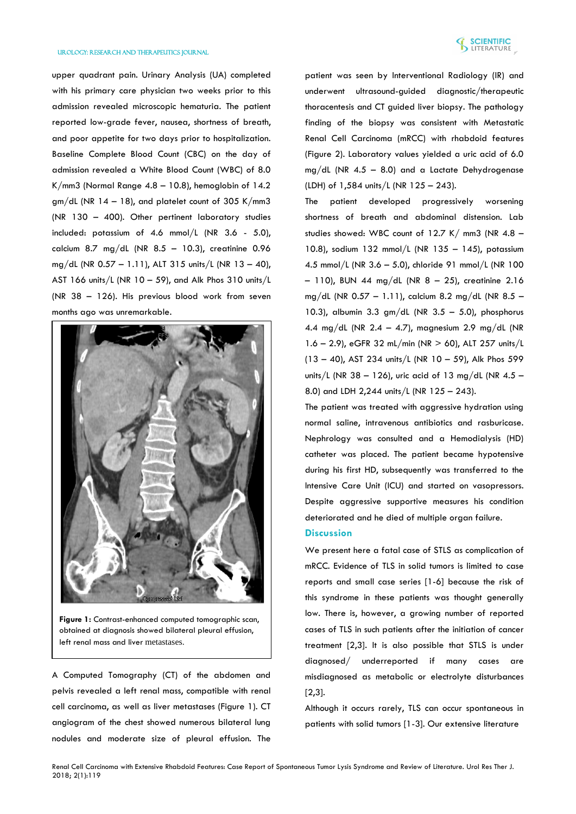#### Urology: Research and Therapeutics Journal

upper quadrant pain. Urinary Analysis (UA) completed with his primary care physician two weeks prior to this admission revealed microscopic hematuria. The patient reported low-grade fever, nausea, shortness of breath, and poor appetite for two days prior to hospitalization. Baseline Complete Blood Count (CBC) on the day of admission revealed a White Blood Count (WBC) of 8.0 K/mm3 (Normal Range 4.8 – 10.8), hemoglobin of 14.2  $gm/dL$  (NR 14 - 18), and platelet count of 305 K/mm3 (NR 130 – 400). Other pertinent laboratory studies included: potassium of 4.6 mmol/L (NR 3.6 - 5.0), calcium 8.7 mg/dL (NR  $8.5 - 10.3$ ), creatinine 0.96 mg/dL (NR 0.57 – 1.11), ALT 315 units/L (NR 13 – 40), AST 166 units/L (NR 10 – 59), and Alk Phos 310 units/L (NR 38 – 126). His previous blood work from seven months ago was unremarkable.



**Figure 1:** Contrast-enhanced computed tomographic scan, obtained at diagnosis showed bilateral pleural effusion, left renal mass and liver metastases.

A Computed Tomography (CT) of the abdomen and pelvis revealed a left renal mass, compatible with renal cell carcinoma, as well as liver metastases (Figure 1). CT angiogram of the chest showed numerous bilateral lung nodules and moderate size of pleural effusion. The

patient was seen by Interventional Radiology (IR) and underwent ultrasound-guided diagnostic/therapeutic thoracentesis and CT guided liver biopsy. The pathology finding of the biopsy was consistent with Metastatic Renal Cell Carcinoma (mRCC) with rhabdoid features (Figure 2). Laboratory values yielded a uric acid of 6.0  $mg/dL$  (NR 4.5 - 8.0) and a Lactate Dehydrogenase (LDH) of 1,584 units/L (NR 125 – 243).

The patient developed progressively worsening shortness of breath and abdominal distension. Lab studies showed: WBC count of  $12.7$  K/ mm3 (NR 4.8 -10.8), sodium 132 mmol/L (NR 135 – 145), potassium 4.5 mmol/L (NR 3.6 – 5.0), chloride 91 mmol/L (NR 100  $-$  110), BUN 44 mg/dL (NR 8 - 25), creatinine 2.16 mg/dL (NR 0.57 – 1.11), calcium 8.2 mg/dL (NR 8.5 – 10.3), albumin 3.3 gm/dL (NR  $3.5 - 5.0$ ), phosphorus 4.4 mg/dL (NR 2.4 – 4.7), magnesium 2.9 mg/dL (NR 1.6 – 2.9), eGFR 32 mL/min (NR > 60), ALT 257 units/L (13 – 40), AST 234 units/L (NR 10 – 59), Alk Phos 599 units/L (NR 38 - 126), uric acid of 13 mg/dL (NR 4.5 -8.0) and LDH 2,244 units/L (NR 125 – 243).

The patient was treated with aggressive hydration using normal saline, intravenous antibiotics and rasburicase. Nephrology was consulted and a Hemodialysis (HD) catheter was placed. The patient became hypotensive during his first HD, subsequently was transferred to the Intensive Care Unit (ICU) and started on vasopressors. Despite aggressive supportive measures his condition deteriorated and he died of multiple organ failure.

#### **Discussion**

We present here a fatal case of STLS as complication of mRCC. Evidence of TLS in solid tumors is limited to case reports and small case series [1-6] because the risk of this syndrome in these patients was thought generally low. There is, however, a growing number of reported cases of TLS in such patients after the initiation of cancer treatment [2,3]. It is also possible that STLS is under diagnosed/ underreported if many cases are misdiagnosed as metabolic or electrolyte disturbances [2,3].

Although it occurs rarely, TLS can occur spontaneous in patients with solid tumors [1-3]. Our extensive literature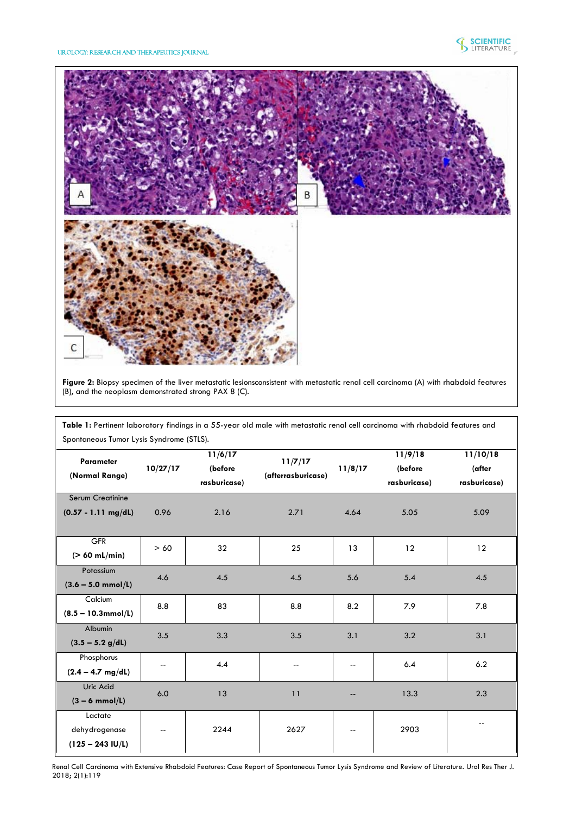Urology: Research and Therapeutics Journal



**Figure 2:** Biopsy specimen of the liver metastatic lesionsconsistent with metastatic renal cell carcinoma (A) with rhabdoid features (B), and the neoplasm demonstrated strong PAX 8 (C).

**Table 1:** Pertinent laboratory findings in a 55-year old male with metastatic renal cell carcinoma with rhabdoid features and Spontaneous Tumor Lysis Syndrome (STLS).

| <b>Parameter</b><br>(Normal Range)<br><b>Serum Creatinine</b> | 10/27/17                 | 11/6/17<br>(before<br>rasburicase) | 11/7/17<br>(afterrasburicase) | 11/8/17 | 11/9/18<br>(before<br>rasburicase) | 11/10/18<br>(after<br>rasburicase) |
|---------------------------------------------------------------|--------------------------|------------------------------------|-------------------------------|---------|------------------------------------|------------------------------------|
| $(0.57 - 1.11$ mg/dL)                                         | 0.96                     | 2.16                               | 2.71                          | 4.64    | 5.05                               | 5.09                               |
| <b>GFR</b><br>$($ > 60 mL/min)                                | > 60                     | 32                                 | 25                            | 13      | 12                                 | 12                                 |
| Potassium<br>$(3.6 - 5.0$ mmol/L)                             | 4.6                      | 4.5                                | 4.5                           | 5.6     | 5.4                                | 4.5                                |
| Calcium<br>$(8.5 - 10.3$ mmol/L)                              | 8.8                      | 83                                 | 8.8                           | 8.2     | 7.9                                | 7.8                                |
| Albumin<br>$(3.5 - 5.2 g/dL)$                                 | 3.5                      | 3.3                                | 3.5                           | 3.1     | 3.2                                | 3.1                                |
| Phosphorus<br>$(2.4 - 4.7$ mg/dL)                             | $\overline{\phantom{a}}$ | 4.4                                | --                            | --      | 6.4                                | 6.2                                |
| Uric Acid<br>$(3 - 6 \text{ mmol/L})$                         | 6.0                      | 13                                 | 11                            |         | 13.3                               | 2.3                                |
| Lactate<br>dehydrogenase<br>$(125 - 243$ IU/L)                | $\overline{\phantom{a}}$ | 2244                               | 2627                          | --      | 2903                               |                                    |

Renal Cell Carcinoma with Extensive Rhabdoid Features: Case Report of Spontaneous Tumor Lysis Syndrome and Review of Literature. Urol Res Ther J. 2018; 2(1):119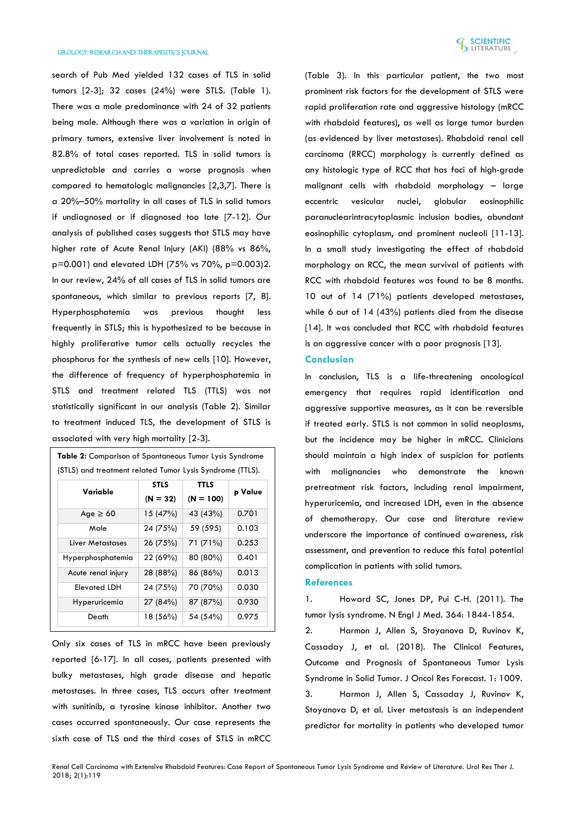

search of Pub Med yielded 132 cases of TLS in solid tumors [2-3]; 32 cases (24%) were STLS. (Table 1). There was a male predominance with 24 of 32 patients being male. Although there was a variation in origin of primary tumors, extensive liver involvement is noted in 82.8% of total cases reported. TLS in solid tumors is unpredictable and carries a worse prognosis when compared to hematologic malignancies [2,3,7]. There is a 20%–50% mortality in all cases of TLS in solid tumors if undiagnosed or if diagnosed too late [7-12]. Our analysis of published cases suggests that STLS may have higher rate of Acute Renal Injury (AKI) (88% vs 86%, p=0.001) and elevated LDH (75% vs 70%, p=0.003)2. In our review, 24% of all cases of TLS in solid tumors are spontaneous, which similar to previous reports [7, 8]. Hyperphosphatemia was previous thought less frequently in STLS; this is hypothesized to be because in highly proliferative tumor cells actually recycles the phosphorus for the synthesis of new cells [10]. However, the difference of frequency of hyperphosphatemia in STLS and treatment related TLS (TTLS) was not statistically significant in our analysis (Table 2). Similar to treatment induced TLS, the development of STLS is associated with very high mortality [2-3].

| (STLS) and treatment related Tumor Lysis Syndrome (TTLS).<br><b>STLS</b><br><b>TTLS</b> |            |             |         |  |  |  |
|-----------------------------------------------------------------------------------------|------------|-------------|---------|--|--|--|
| Variable                                                                                | $(N = 32)$ | $(N = 100)$ | p Value |  |  |  |
| Age $\geq 60$                                                                           | 15(47%)    | 43 (43%)    | 0.701   |  |  |  |
| Male                                                                                    | 24 (75%)   | 59 (595)    | 0.103   |  |  |  |
| Liver Metastases                                                                        | 26(75%)    | 71 (71%)    | 0.253   |  |  |  |
| Hyperphosphatemia                                                                       | 22 (69%)   | 80 (80%)    | 0.401   |  |  |  |
| Acute renal injury                                                                      | 28 (88%)   | 86 (86%)    | 0.013   |  |  |  |
| <b>Elevated LDH</b>                                                                     | 24 (75%)   | 70 (70%)    | 0.030   |  |  |  |
| Hyperuricemia                                                                           | 27(84%)    | 87 (87%)    | 0.930   |  |  |  |
| Death                                                                                   | 18 (56%)   | 54 (54%)    | 0.975   |  |  |  |

Only six cases of TLS in mRCC have been previously reported [6-17]. In all cases, patients presented with bulky metastases, high grade disease and hepatic metastases. In three cases, TLS occurs after treatment with sunitinib, a tyrosine kinase inhibitor. Another two cases occurred spontaneously. Our case represents the sixth case of TLS and the third cases of STLS in mRCC

(Table 3). In this particular patient, the two most prominent risk factors for the development of STLS were rapid proliferation rate and aggressive histology (mRCC with rhabdoid features), as well as large tumor burden (as evidenced by liver metastases). Rhabdoid renal cell carcinoma (RRCC) morphology is currently defined as any histologic type of RCC that has foci of high-grade malignant cells with rhabdoid morphology – large eccentric vesicular nuclei, globular eosinophilic paranuclearintracytoplasmic inclusion bodies, abundant eosinophilic cytoplasm, and prominent nucleoli [11-13]. In a small study investigating the effect of rhabdoid morphology on RCC, the mean survival of patients with RCC with rhabdoid features was found to be 8 months. 10 out of 14 (71%) patients developed metastases, while 6 out of 14 (43%) patients died from the disease [14]. It was concluded that RCC with rhabdoid features is an aggressive cancer with a poor prognosis [13].

### **Conclusion**

In conclusion, TLS is a life-threatening oncological emergency that requires rapid identification and aggressive supportive measures, as it can be reversible if treated early. STLS is not common in solid neoplasms, but the incidence may be higher in mRCC. Clinicians should maintain a high index of suspicion for patients with malignancies who demonstrate the known pretreatment risk factors, including renal impairment, hyperuricemia, and increased LDH, even in the absence of chemotherapy. Our case and literature review underscore the importance of continued awareness, risk assessment, and prevention to reduce this fatal potential complication in patients with solid tumors.

#### **References**

1. [Howard SC, Jones DP, Pui C-H. \(2011\). The](https://www.ncbi.nlm.nih.gov/pubmed/21561350)  [tumor lysis syndrome. N Engl J Med. 364: 1844-1854.](https://www.ncbi.nlm.nih.gov/pubmed/21561350)

2. [Harmon J, Allen S, Stoyanova D, Ruvinov K,](https://scienceforecastoa.com/Articles/JORF-V1-E2-1009.pdf)  [Cassaday J, et al. \(2018\). The Clinical Features,](https://scienceforecastoa.com/Articles/JORF-V1-E2-1009.pdf)  [Outcome and Prognosis of Spontaneous Tumor Lysis](https://scienceforecastoa.com/Articles/JORF-V1-E2-1009.pdf)  [Syndrome in Solid Tumor. J Oncol Res Forecast. 1: 1009.](https://scienceforecastoa.com/Articles/JORF-V1-E2-1009.pdf) 3. [Harmon J, Allen S, Cassaday J, Ruvinov K,](http://ascopubs.org/doi/abs/10.1200/JCO.2018.36.15_suppl.e18766)  [Stoyanova D, et al. Liver metastasis is an independent](http://ascopubs.org/doi/abs/10.1200/JCO.2018.36.15_suppl.e18766)  [predictor for mortality in patients who developed tumor](http://ascopubs.org/doi/abs/10.1200/JCO.2018.36.15_suppl.e18766)